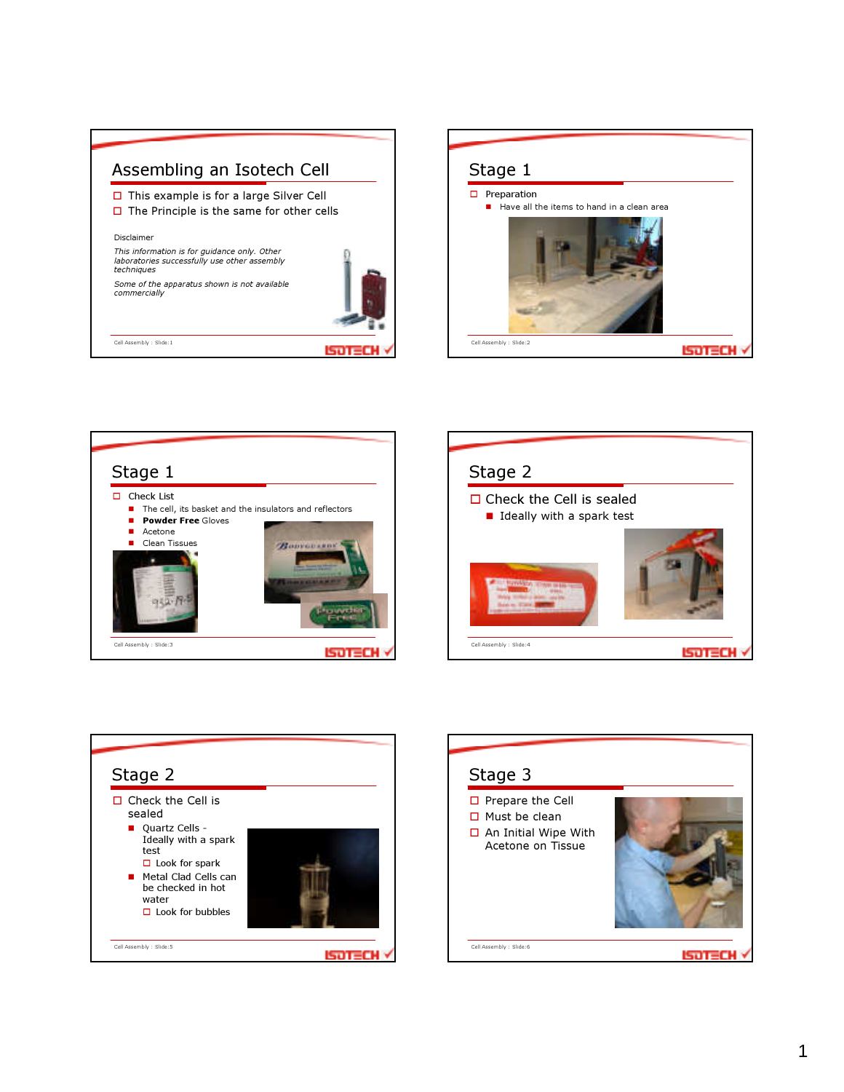









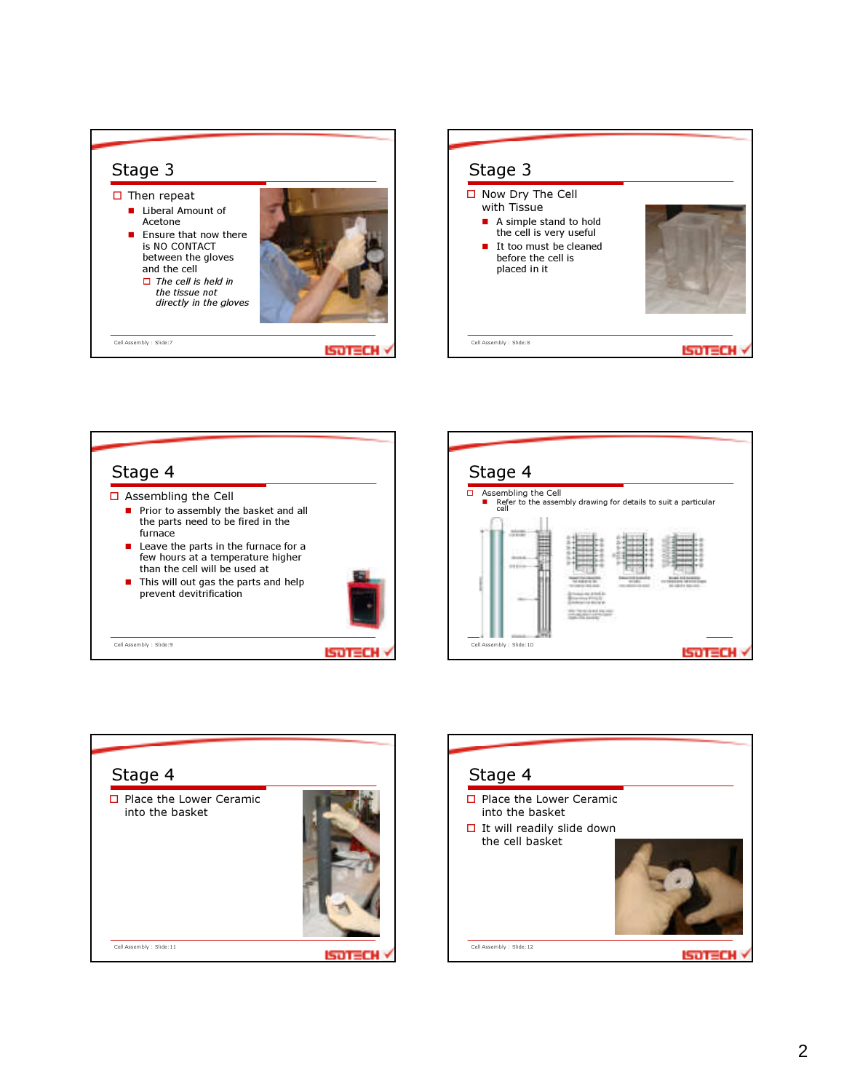









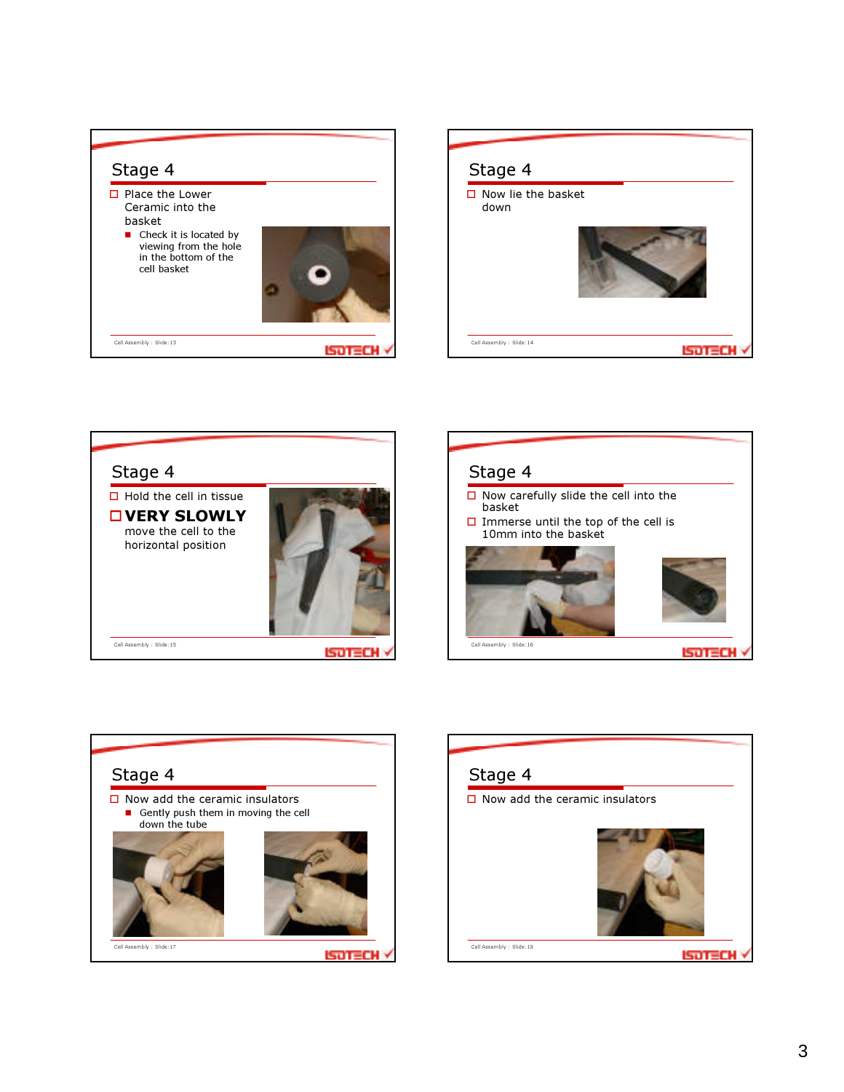









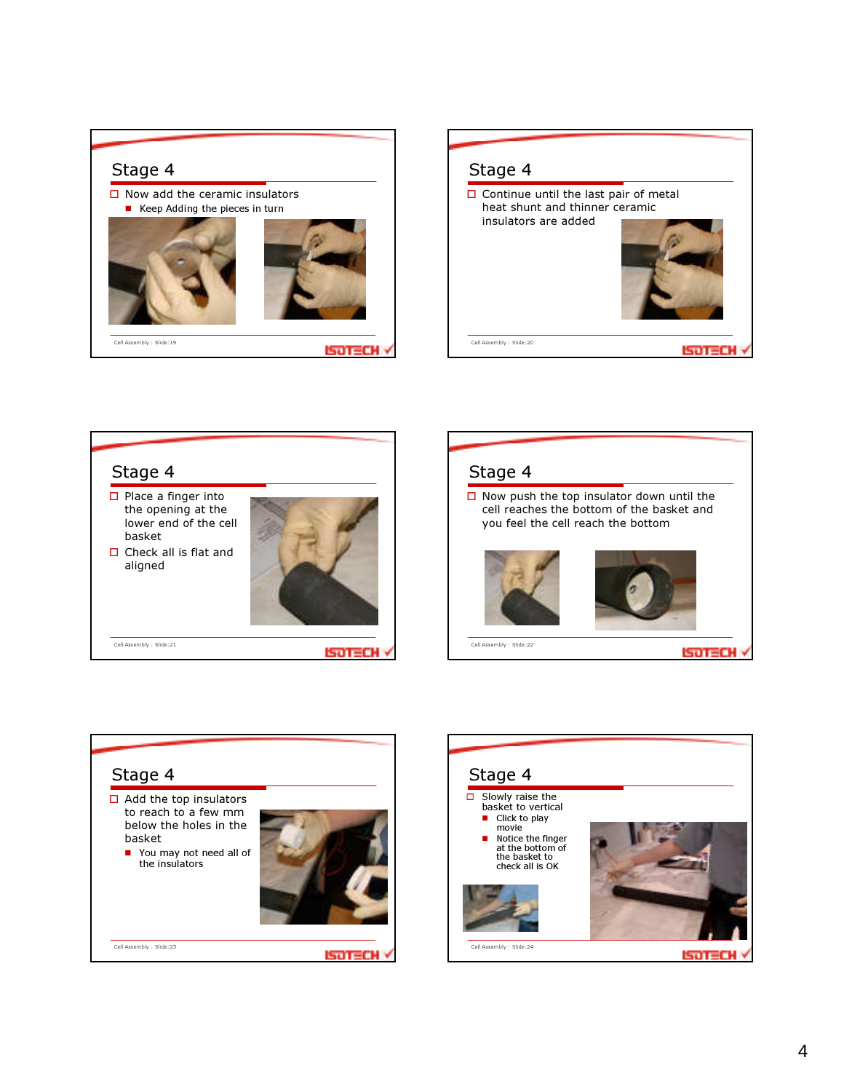## Stage 4

 $\Box$  Now add the ceramic insulators ■ Keep Adding the pieces in turn Cell Assembly : Slide:19 **ISOTECH V**